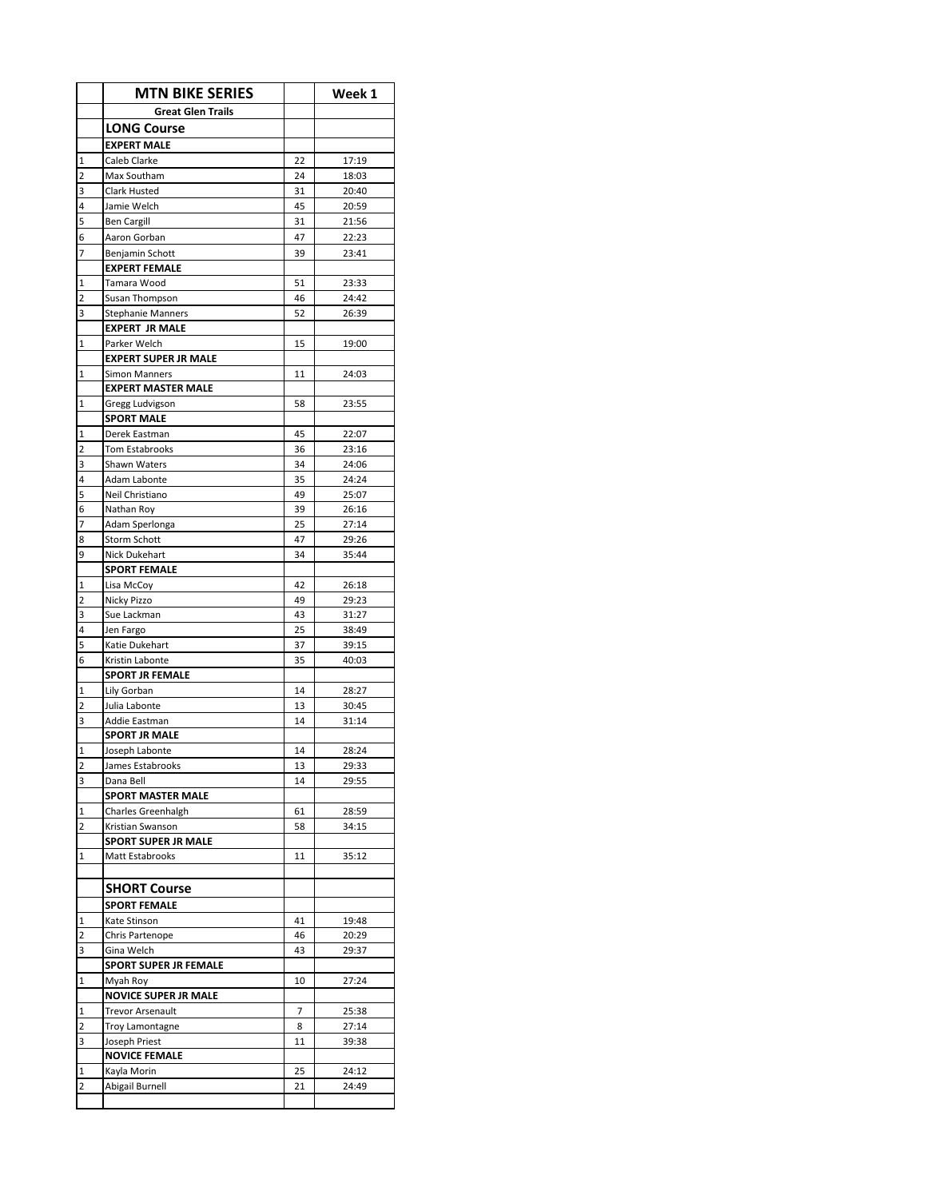|                     | <b>MTN BIKE SERIES</b>                            |                | Week 1         |
|---------------------|---------------------------------------------------|----------------|----------------|
|                     | <b>Great Glen Trails</b>                          |                |                |
|                     | <b>LONG Course</b>                                |                |                |
|                     | <b>EXPERT MALE</b>                                |                |                |
| $\mathbf 1$         | Caleb Clarke                                      | 22             | 17:19          |
| $\overline{2}$      | Max Southam                                       | 24             | 18:03          |
| 3                   | Clark Husted                                      | 31             | 20:40          |
| 4                   | Jamie Welch                                       | 45             | 20:59          |
| 5                   | <b>Ben Cargill</b>                                | 31             | 21:56          |
| 6                   | Aaron Gorban                                      | 47             | 22:23          |
| 7                   | Benjamin Schott                                   | 39             | 23:41          |
|                     | <b>EXPERT FEMALE</b>                              |                |                |
| $\mathbf{1}$        | Tamara Wood                                       | 51             | 23:33          |
| $\overline{2}$<br>3 | Susan Thompson                                    | 46<br>52       | 24:42<br>26:39 |
|                     | <b>Stephanie Manners</b><br><b>EXPERT JR MALE</b> |                |                |
| $\mathbf 1$         | Parker Welch                                      | 15             | 19:00          |
|                     | <b>EXPERT SUPER JR MALE</b>                       |                |                |
| $\mathbf{1}$        | <b>Simon Manners</b>                              | 11             | 24:03          |
|                     | <b>EXPERT MASTER MALE</b>                         |                |                |
| 1                   | Gregg Ludvigson                                   | 58             | 23:55          |
|                     | <b>SPORT MALE</b>                                 |                |                |
| $\mathbf{1}$        | Derek Eastman                                     | 45             | 22:07          |
| $\overline{2}$      | <b>Tom Estabrooks</b>                             | 36             | 23:16          |
| 3                   | Shawn Waters                                      | 34             | 24:06          |
| 4                   | Adam Labonte                                      | 35             | 24:24          |
| 5                   | Neil Christiano                                   | 49             | 25:07          |
| 6                   | Nathan Roy                                        | 39             | 26:16          |
| 7                   | Adam Sperlonga                                    | 25             | 27:14          |
| 8                   | <b>Storm Schott</b>                               | 47             | 29:26          |
| 9                   | Nick Dukehart                                     | 34             | 35:44          |
|                     | <b>SPORT FEMALE</b>                               |                |                |
| 1                   | Lisa McCoy                                        | 42             | 26:18          |
| $\overline{2}$      | Nicky Pizzo                                       | 49             | 29:23          |
| 3                   | Sue Lackman                                       | 43             | 31:27          |
| 4<br>5              | Jen Fargo                                         | 25             | 38:49<br>39:15 |
| 6                   | Katie Dukehart<br>Kristin Labonte                 | 37<br>35       | 40:03          |
|                     | <b>SPORT JR FEMALE</b>                            |                |                |
| $\mathbf{1}$        | Lily Gorban                                       | 14             | 28:27          |
| $\overline{2}$      | Julia Labonte                                     | 13             | 30:45          |
| 3                   | Addie Eastman                                     | 14             | 31:14          |
|                     | <b>SPORT JR MALE</b>                              |                |                |
| $\mathbf 1$         | Joseph Labonte                                    | 14             | 28:24          |
| 2                   | James Estabrooks                                  | 13             | 29:33          |
| 3                   | Dana Bell                                         | 14             | 29:55          |
|                     | <b>SPORT MASTER MALE</b>                          |                |                |
| $\overline{1}$      | Charles Greenhalgh                                | 61             | 28:59          |
| $\overline{2}$      | Kristian Swanson                                  | 58             | 34:15          |
|                     | <b>SPORT SUPER JR MALE</b>                        |                |                |
| $\mathbf 1$         | Matt Estabrooks                                   | 11             | 35:12          |
|                     |                                                   |                |                |
|                     | <b>SHORT Course</b>                               |                |                |
|                     | <b>SPORT FEMALE</b>                               |                |                |
| $\mathbf 1$         | Kate Stinson                                      | 41             | 19:48          |
| $\overline{2}$      | Chris Partenope                                   | 46             | 20:29          |
| 3                   | Gina Welch                                        | 43             | 29:37          |
| $\mathbf 1$         | <b>SPORT SUPER JR FEMALE</b>                      |                |                |
|                     | Myah Roy<br><b>NOVICE SUPER JR MALE</b>           | 10             | 27:24          |
| $\mathbf{1}$        | <b>Trevor Arsenault</b>                           | $\overline{7}$ | 25:38          |
| 2                   | Troy Lamontagne                                   | 8              | 27:14          |
| 3                   | Joseph Priest                                     | 11             | 39:38          |
|                     | <b>NOVICE FEMALE</b>                              |                |                |
| 1                   | Kayla Morin                                       | 25             | 24:12          |
| 2                   | Abigail Burnell                                   | 21             | 24:49          |
|                     |                                                   |                |                |